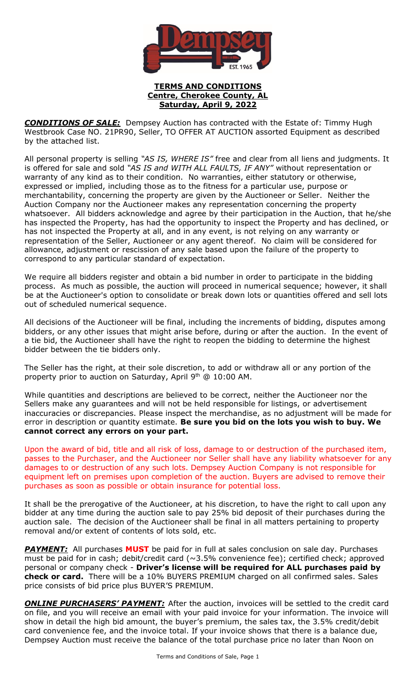

## **TERMS AND CONDITIONS Centre, Cherokee County, AL Saturday, April 9, 2022**

*CONDITIONS OF SALE:* Dempsey Auction has contracted with the Estate of: Timmy Hugh Westbrook Case NO. 21PR90, Seller, TO OFFER AT AUCTION assorted Equipment as described by the attached list.

All personal property is selling *"AS IS, WHERE IS"* free and clear from all liens and judgments. It is offered for sale and sold *"AS IS and WITH ALL FAULTS, IF ANY"* without representation or warranty of any kind as to their condition. No warranties, either statutory or otherwise, expressed or implied, including those as to the fitness for a particular use, purpose or merchantability, concerning the property are given by the Auctioneer or Seller. Neither the Auction Company nor the Auctioneer makes any representation concerning the property whatsoever. All bidders acknowledge and agree by their participation in the Auction, that he/she has inspected the Property, has had the opportunity to inspect the Property and has declined, or has not inspected the Property at all, and in any event, is not relying on any warranty or representation of the Seller, Auctioneer or any agent thereof. No claim will be considered for allowance, adjustment or rescission of any sale based upon the failure of the property to correspond to any particular standard of expectation.

We require all bidders register and obtain a bid number in order to participate in the bidding process. As much as possible, the auction will proceed in numerical sequence; however, it shall be at the Auctioneer's option to consolidate or break down lots or quantities offered and sell lots out of scheduled numerical sequence.

All decisions of the Auctioneer will be final, including the increments of bidding, disputes among bidders, or any other issues that might arise before, during or after the auction. In the event of a tie bid, the Auctioneer shall have the right to reopen the bidding to determine the highest bidder between the tie bidders only.

The Seller has the right, at their sole discretion, to add or withdraw all or any portion of the property prior to auction on Saturday, April 9<sup>th</sup> @ 10:00 AM.

While quantities and descriptions are believed to be correct, neither the Auctioneer nor the Sellers make any guarantees and will not be held responsible for listings, or advertisement inaccuracies or discrepancies. Please inspect the merchandise, as no adjustment will be made for error in description or quantity estimate. **Be sure you bid on the lots you wish to buy. We cannot correct any errors on your part.**

Upon the award of bid, title and all risk of loss, damage to or destruction of the purchased item, passes to the Purchaser, and the Auctioneer nor Seller shall have any liability whatsoever for any damages to or destruction of any such lots. Dempsey Auction Company is not responsible for equipment left on premises upon completion of the auction. Buyers are advised to remove their purchases as soon as possible or obtain insurance for potential loss.

It shall be the prerogative of the Auctioneer, at his discretion, to have the right to call upon any bidder at any time during the auction sale to pay 25% bid deposit of their purchases during the auction sale. The decision of the Auctioneer shall be final in all matters pertaining to property removal and/or extent of contents of lots sold, etc.

**PAYMENT:** All purchases **MUST** be paid for in full at sales conclusion on sale day. Purchases must be paid for in cash; debit/credit card  $(\sim 3.5\%$  convenience fee); certified check; approved personal or company check - **Driver's license will be required for ALL purchases paid by check or card.** There will be a 10% BUYERS PREMIUM charged on all confirmed sales. Sales price consists of bid price plus BUYER'S PREMIUM.

**ONLINE PURCHASERS' PAYMENT:** After the auction, invoices will be settled to the credit card on file, and you will receive an email with your paid invoice for your information. The invoice will show in detail the high bid amount, the buyer's premium, the sales tax, the 3.5% credit/debit card convenience fee, and the invoice total. If your invoice shows that there is a balance due, Dempsey Auction must receive the balance of the total purchase price no later than Noon on